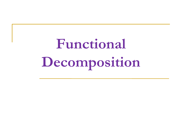**Functional Decomposition**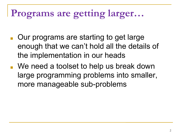## **Programs are getting larger…**

- Our programs are starting to get large enough that we can't hold all the details of the implementation in our heads
- We need a toolset to help us break down large programming problems into smaller, more manageable sub-problems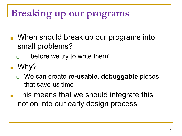## **Breaking up our programs**

- When should break up our programs into small problems?
	- □ …before we try to write them!
- Why?
	- ❑ We can create **re-usable, debuggable** pieces that save us time
- This means that we should integrate this notion into our early design process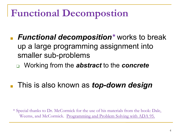### **Functional Decompostion**

- *Functional decomposition*<sup>\*</sup> works to break up a large programming assignment into smaller sub-problems
	- ❑ Working from the *abstract* to the *concrete*
- This is also known as *top-down design*

\* Special thanks to Dr. McCormick for the use of his materials from the book: Dale, Weems, and McCormick. Programming and Problem Solving with ADA 95.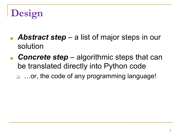- Abstract step a list of major steps in our solution
- **Concrete step** algorithmic steps that can be translated directly into Python code ❑ …or, the code of any programming language!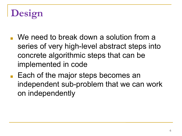- We need to break down a solution from a series of very high-level abstract steps into concrete algorithmic steps that can be implemented in code
- Each of the major steps becomes an independent sub-problem that we can work on independently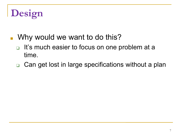- Why would we want to do this?
	- It's much easier to focus on one problem at a time.
	- ❑ Can get lost in large specifications without a plan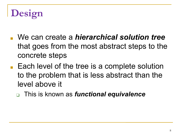- We can create a *hierarchical solution tree* that goes from the most abstract steps to the concrete steps
- Each level of the tree is a complete solution to the problem that is less abstract than the level above it
	- ❑ This is known as *functional equivalence*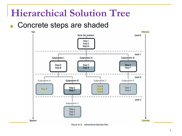#### **Hierarchical Solution Tree**

#### ■ Concrete steps are shaded



Figure 4-3 Hierarchical Solution Tree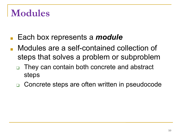#### **Modules**

- Each box represents a *module*
- Modules are a self-contained collection of steps that solves a problem or subproblem
	- They can contain both concrete and abstract steps
	- ❑ Concrete steps are often written in pseudocode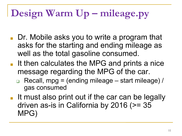# **Design Warm Up – mileage.py**

- Dr. Mobile asks you to write a program that asks for the starting and ending mileage as well as the total gasoline consumed.
- It then calculates the MPG and prints a nice message regarding the MPG of the car.
	- Recall, mpg = (ending mileage start mileage) / gas consumed
- It must also print out if the car can be legally driven as-is in California by 2016 (>= 35 MPG)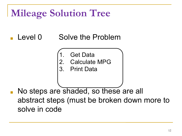#### Level 0 Solve the Problem

**Get Data** 

2. Calculate MPG

3. Print Data

No steps are shaded, so these are all abstract steps (must be broken down more to solve in code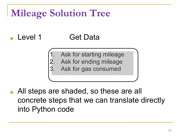#### Level 1 Get Data

- Ask for starting mileage  $\overline{a}$
- Ask for ending mileage
- Ask for gas consumed

All steps are shaded, so these are all concrete steps that we can translate directly into Python code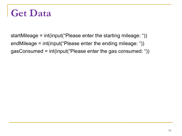### **Get Data**

startMileage = int(input("Please enter the starting mileage: ")) endMileage = int(input("Please enter the ending mileage: ")) gasConsumed = int(input("Please enter the gas consumed: "))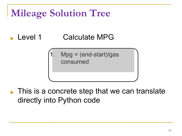#### Level 1 Calculate MPG

 $Mpg = (end-start)/gas$ consumed

This is a concrete step that we can translate directly into Python code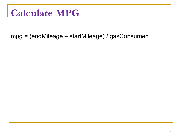### **Calculate MPG**

mpg = (endMileage – startMileage) / gasConsumed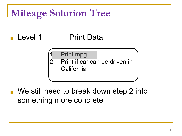#### Level 1 Print Data

- Print mpg
- Print if car can be driven in **California**

We still need to break down step 2 into something more concrete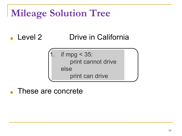#### ■ Level 2 Drive in California

if mpg  $<$  35: print cannot drive else print can drive

These are concrete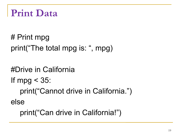```
Print Data
```
# Print mpg print("The total mpg is: ", mpg)

#Drive in California If mpg < 35: print("Cannot drive in California.") else

print("Can drive in California!")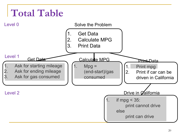